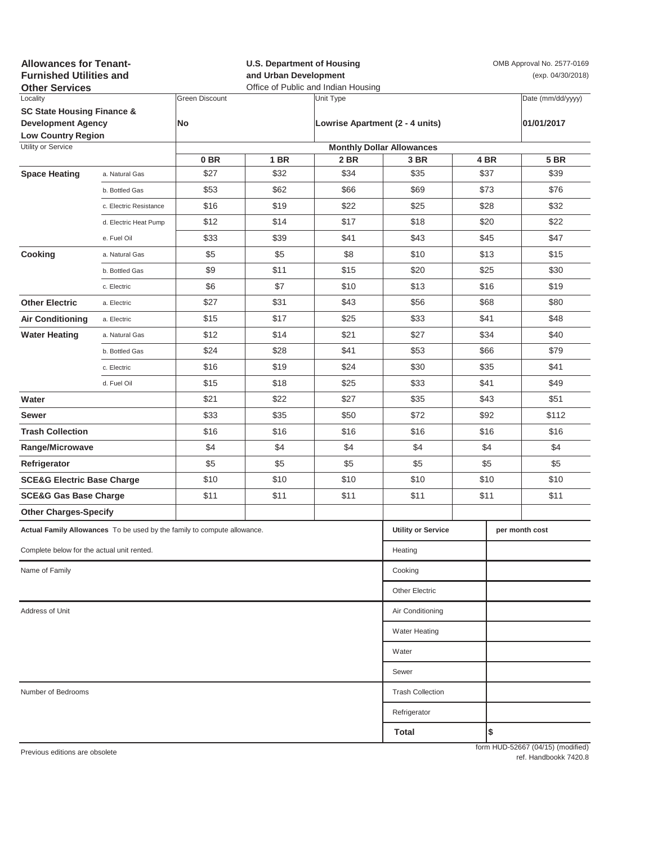| <b>Allowances for Tenant-</b><br><b>Furnished Utilities and</b><br><b>Other Services</b> |                           |                       | <b>U.S. Department of Housing</b><br>and Urban Development<br>Office of Public and Indian Housing |                |                                  |            | OMB Approval No. 2577-0169<br>(exp. 04/30/2018) |                                   |
|------------------------------------------------------------------------------------------|---------------------------|-----------------------|---------------------------------------------------------------------------------------------------|----------------|----------------------------------|------------|-------------------------------------------------|-----------------------------------|
| Locality                                                                                 |                           | <b>Green Discount</b> |                                                                                                   | Unit Type      |                                  |            |                                                 | Date (mm/dd/yyyy)                 |
| <b>SC State Housing Finance &amp;</b>                                                    |                           | No                    |                                                                                                   |                | Lowrise Apartment (2 - 4 units)  |            |                                                 |                                   |
| <b>Development Agency</b><br><b>Low Country Region</b>                                   |                           |                       |                                                                                                   |                |                                  | 01/01/2017 |                                                 |                                   |
| Utility or Service                                                                       |                           |                       |                                                                                                   |                | <b>Monthly Dollar Allowances</b> |            |                                                 |                                   |
|                                                                                          |                           | 0 <sub>BR</sub>       | 1 BR                                                                                              | 2 BR           | 3 BR                             |            | 4 BR                                            | <b>5 BR</b>                       |
| <b>Space Heating</b>                                                                     | a. Natural Gas            | \$27                  | \$32                                                                                              | \$34           | \$35                             |            | \$37                                            | \$39                              |
|                                                                                          | b. Bottled Gas            | \$53                  | \$62                                                                                              | \$66           | \$69                             |            | \$73                                            | \$76                              |
|                                                                                          | c. Electric Resistance    | \$16                  | \$19                                                                                              | \$22           | \$25                             | \$28       |                                                 | \$32                              |
|                                                                                          | d. Electric Heat Pump     | \$12                  | \$14                                                                                              | \$17           | \$18                             |            | \$20                                            | \$22                              |
|                                                                                          | e. Fuel Oil               | \$33                  | \$39                                                                                              | \$41           | \$43                             |            | \$45                                            | \$47                              |
| Cooking                                                                                  | a. Natural Gas            | \$5                   | \$5                                                                                               | \$8            | \$10                             |            | \$13                                            | \$15                              |
|                                                                                          | b. Bottled Gas            | \$9                   | \$11                                                                                              | \$15           | \$20                             | \$25       |                                                 | \$30                              |
|                                                                                          | c. Electric               | \$6                   | \$7                                                                                               | \$10           | \$13                             |            | \$16                                            | \$19                              |
| <b>Other Electric</b>                                                                    | a. Electric               | \$27                  | \$31                                                                                              | \$43           | \$56                             | \$68       |                                                 | \$80                              |
| <b>Air Conditioning</b>                                                                  | a. Electric               | \$15                  | \$17                                                                                              | \$25           | \$33                             | \$41       |                                                 | \$48                              |
| <b>Water Heating</b>                                                                     | a. Natural Gas            | \$12                  | \$14                                                                                              | \$21           | \$27                             |            | \$34                                            | \$40                              |
|                                                                                          | b. Bottled Gas            | \$24                  | \$28                                                                                              | \$41           | \$53                             |            | \$66                                            | \$79                              |
|                                                                                          | c. Electric               | \$16                  | \$19                                                                                              | \$24           | \$30                             |            | \$35                                            | \$41                              |
|                                                                                          | d. Fuel Oil               | \$15                  | \$18                                                                                              | \$25           | \$33                             |            | \$41                                            | \$49                              |
| Water                                                                                    |                           | \$21                  | \$22                                                                                              | \$27           | \$35                             |            | \$43                                            | \$51                              |
| Sewer                                                                                    |                           | \$33                  | \$35                                                                                              | \$50           | \$72                             |            | \$92                                            | \$112                             |
| <b>Trash Collection</b>                                                                  |                           | \$16                  | \$16                                                                                              | \$16           | \$16                             | \$16       |                                                 | \$16                              |
| Range/Microwave                                                                          |                           | \$4                   | \$4                                                                                               | \$4            | \$4                              | \$4        |                                                 | \$4                               |
| Refrigerator                                                                             |                           | \$5                   | \$5                                                                                               | \$5            | \$5                              | \$5        |                                                 | \$5                               |
| <b>SCE&amp;G Electric Base Charge</b>                                                    |                           | \$10                  | \$10                                                                                              | \$10           | \$10                             | \$10       |                                                 | \$10                              |
| <b>SCE&amp;G Gas Base Charge</b>                                                         |                           | \$11                  | \$11                                                                                              | \$11           | \$11                             | \$11       |                                                 | \$11                              |
| <b>Other Charges-Specify</b>                                                             |                           |                       |                                                                                                   |                |                                  |            |                                                 |                                   |
|                                                                                          |                           |                       |                                                                                                   |                |                                  |            |                                                 |                                   |
| Actual Family Allowances To be used by the family to compute allowance.                  | <b>Utility or Service</b> |                       |                                                                                                   | per month cost |                                  |            |                                                 |                                   |
| Complete below for the actual unit rented.                                               | Heating                   |                       |                                                                                                   |                |                                  |            |                                                 |                                   |
| Name of Family                                                                           |                           |                       |                                                                                                   |                | Cooking                          |            |                                                 |                                   |
|                                                                                          |                           |                       |                                                                                                   |                | <b>Other Electric</b>            |            |                                                 |                                   |
| Address of Unit                                                                          | Air Conditioning          |                       |                                                                                                   |                |                                  |            |                                                 |                                   |
|                                                                                          |                           |                       |                                                                                                   |                | <b>Water Heating</b>             |            |                                                 |                                   |
|                                                                                          |                           |                       |                                                                                                   |                | Water                            |            |                                                 |                                   |
|                                                                                          |                           |                       |                                                                                                   |                | Sewer                            |            |                                                 |                                   |
| Number of Bedrooms                                                                       | <b>Trash Collection</b>   |                       |                                                                                                   |                |                                  |            |                                                 |                                   |
|                                                                                          |                           |                       |                                                                                                   |                | Refrigerator                     |            |                                                 |                                   |
|                                                                                          |                           |                       |                                                                                                   |                | Total                            |            | \$                                              |                                   |
| Previous editions are obsolete                                                           |                           |                       |                                                                                                   |                |                                  |            |                                                 | form HUD-52667 (04/15) (modified) |